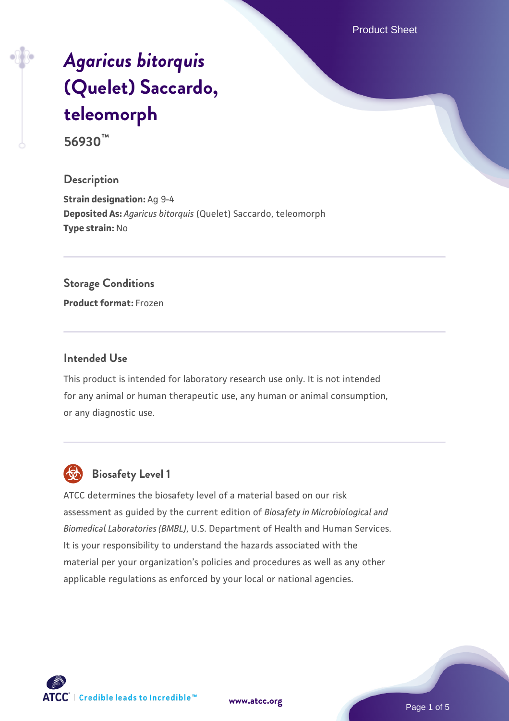Product Sheet

# *[Agaricus bitorquis](https://www.atcc.org/products/56930)* **[\(Quelet\) Saccardo,](https://www.atcc.org/products/56930) [teleomorph](https://www.atcc.org/products/56930)**

**56930™**

#### **Description**

**Strain designation:** Ag 9-4 **Deposited As:** *Agaricus bitorquis* (Quelet) Saccardo, teleomorph **Type strain:** No

#### **Storage Conditions**

**Product format:** Frozen

#### **Intended Use**

This product is intended for laboratory research use only. It is not intended for any animal or human therapeutic use, any human or animal consumption, or any diagnostic use.



# **Biosafety Level 1**

ATCC determines the biosafety level of a material based on our risk assessment as guided by the current edition of *Biosafety in Microbiological and Biomedical Laboratories (BMBL)*, U.S. Department of Health and Human Services. It is your responsibility to understand the hazards associated with the material per your organization's policies and procedures as well as any other applicable regulations as enforced by your local or national agencies.

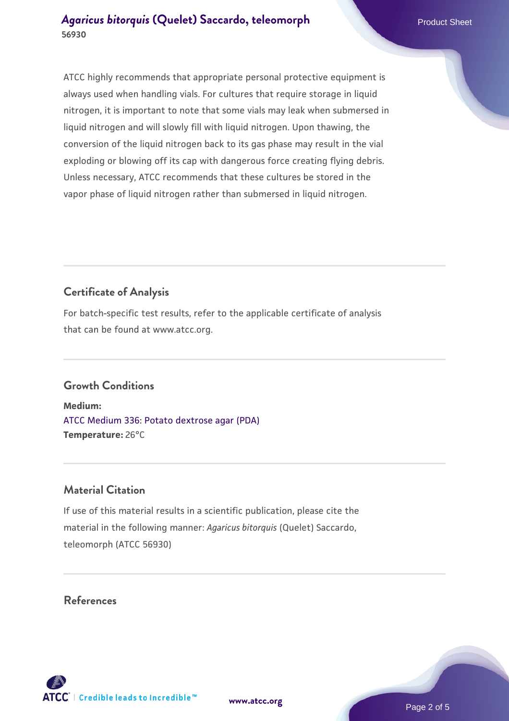ATCC highly recommends that appropriate personal protective equipment is always used when handling vials. For cultures that require storage in liquid nitrogen, it is important to note that some vials may leak when submersed in liquid nitrogen and will slowly fill with liquid nitrogen. Upon thawing, the conversion of the liquid nitrogen back to its gas phase may result in the vial exploding or blowing off its cap with dangerous force creating flying debris. Unless necessary, ATCC recommends that these cultures be stored in the vapor phase of liquid nitrogen rather than submersed in liquid nitrogen.

# **Certificate of Analysis**

For batch-specific test results, refer to the applicable certificate of analysis that can be found at www.atcc.org.

## **Growth Conditions**

**Medium:**  [ATCC Medium 336: Potato dextrose agar \(PDA\)](https://www.atcc.org/-/media/product-assets/documents/microbial-media-formulations/3/3/6/atcc-medium-336.pdf?rev=d9160ad44d934cd8b65175461abbf3b9) **Temperature:** 26°C

## **Material Citation**

If use of this material results in a scientific publication, please cite the material in the following manner: *Agaricus bitorquis* (Quelet) Saccardo, teleomorph (ATCC 56930)

## **References**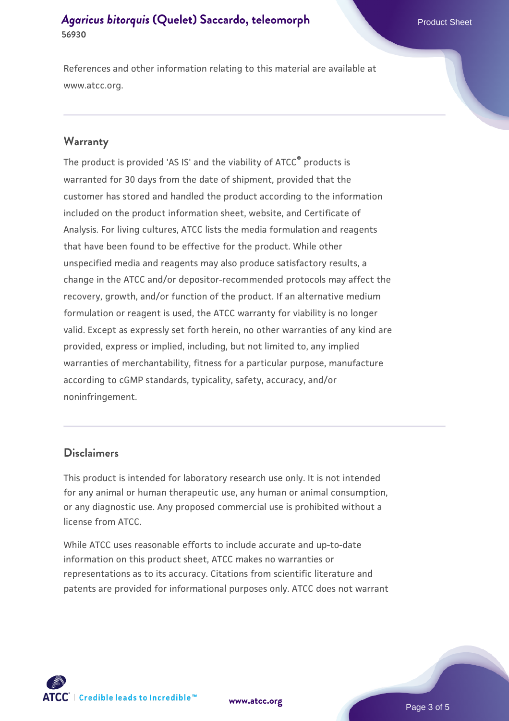References and other information relating to this material are available at www.atcc.org.

#### **Warranty**

The product is provided 'AS IS' and the viability of ATCC® products is warranted for 30 days from the date of shipment, provided that the customer has stored and handled the product according to the information included on the product information sheet, website, and Certificate of Analysis. For living cultures, ATCC lists the media formulation and reagents that have been found to be effective for the product. While other unspecified media and reagents may also produce satisfactory results, a change in the ATCC and/or depositor-recommended protocols may affect the recovery, growth, and/or function of the product. If an alternative medium formulation or reagent is used, the ATCC warranty for viability is no longer valid. Except as expressly set forth herein, no other warranties of any kind are provided, express or implied, including, but not limited to, any implied warranties of merchantability, fitness for a particular purpose, manufacture according to cGMP standards, typicality, safety, accuracy, and/or noninfringement.

#### **Disclaimers**

This product is intended for laboratory research use only. It is not intended for any animal or human therapeutic use, any human or animal consumption, or any diagnostic use. Any proposed commercial use is prohibited without a license from ATCC.

While ATCC uses reasonable efforts to include accurate and up-to-date information on this product sheet, ATCC makes no warranties or representations as to its accuracy. Citations from scientific literature and patents are provided for informational purposes only. ATCC does not warrant



**[www.atcc.org](http://www.atcc.org)**

Page 3 of 5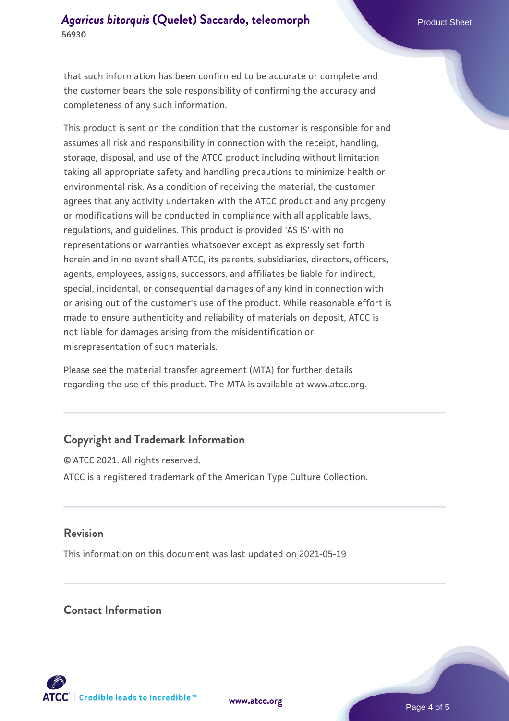that such information has been confirmed to be accurate or complete and the customer bears the sole responsibility of confirming the accuracy and completeness of any such information.

This product is sent on the condition that the customer is responsible for and assumes all risk and responsibility in connection with the receipt, handling, storage, disposal, and use of the ATCC product including without limitation taking all appropriate safety and handling precautions to minimize health or environmental risk. As a condition of receiving the material, the customer agrees that any activity undertaken with the ATCC product and any progeny or modifications will be conducted in compliance with all applicable laws, regulations, and guidelines. This product is provided 'AS IS' with no representations or warranties whatsoever except as expressly set forth herein and in no event shall ATCC, its parents, subsidiaries, directors, officers, agents, employees, assigns, successors, and affiliates be liable for indirect, special, incidental, or consequential damages of any kind in connection with or arising out of the customer's use of the product. While reasonable effort is made to ensure authenticity and reliability of materials on deposit, ATCC is not liable for damages arising from the misidentification or misrepresentation of such materials.

Please see the material transfer agreement (MTA) for further details regarding the use of this product. The MTA is available at www.atcc.org.

## **Copyright and Trademark Information**

© ATCC 2021. All rights reserved. ATCC is a registered trademark of the American Type Culture Collection.

#### **Revision**

This information on this document was last updated on 2021-05-19

### **Contact Information**



**[www.atcc.org](http://www.atcc.org)**

Page 4 of 5